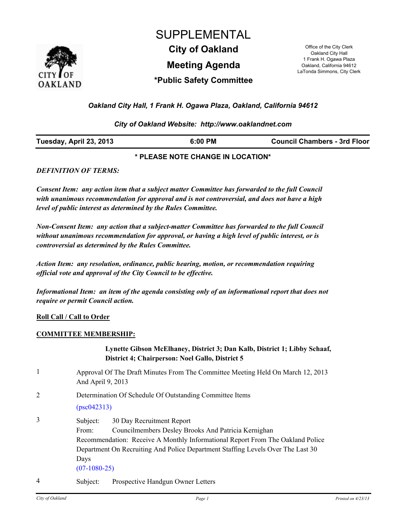

# **Meeting Agenda City of Oakland** Office of the City Clerk SUPPLEMENTAL

Oakland City Hall 1 Frank H. Ogawa Plaza Oakland, California 94612 LaTonda Simmons, City Clerk

## **\*Public Safety Committee**

### *Oakland City Hall, 1 Frank H. Ogawa Plaza, Oakland, California 94612*

### *City of Oakland Website: http://www.oaklandnet.com*

| Tuesday, April 23, 2013<br><b>Council Chambers - 3rd Floor</b><br>:00 PM |
|--------------------------------------------------------------------------|
|--------------------------------------------------------------------------|

### **\* PLEASE NOTE CHANGE IN LOCATION\***

#### *DEFINITION OF TERMS:*

*Consent Item: any action item that a subject matter Committee has forwarded to the full Council with unanimous recommendation for approval and is not controversial, and does not have a high level of public interest as determined by the Rules Committee.*

*Non-Consent Item: any action that a subject-matter Committee has forwarded to the full Council without unanimous recommendation for approval, or having a high level of public interest, or is controversial as determined by the Rules Committee.*

*Action Item: any resolution, ordinance, public hearing, motion, or recommendation requiring official vote and approval of the City Council to be effective.*

*Informational Item: an item of the agenda consisting only of an informational report that does not require or permit Council action.*

### **Roll Call / Call to Order**

### **COMMITTEE MEMBERSHIP:**

### **Lynette Gibson McElhaney, District 3; Dan Kalb, District 1; Libby Schaaf, District 4; Chairperson: Noel Gallo, District 5**

- 1 Approval Of The Draft Minutes From The Committee Meeting Held On March 12, 2013 And April 9, 2013
- 2 Determination Of Schedule Of Outstanding Committee Items

[\(psc042313\)](http://oakland.legistar.com/gateway.aspx?M=L&ID=22229)

- 3 Subject: 30 Day Recruitment Report From: Councilmembers Desley Brooks And Patricia Kernighan Recommendation: Receive A Monthly Informational Report From The Oakland Police Department On Recruiting And Police Department Staffing Levels Over The Last 30 Days [\(07-1080-25\)](http://oakland.legistar.com/gateway.aspx?M=L&ID=22201)
- 4 Subject: Prospective Handgun Owner Letters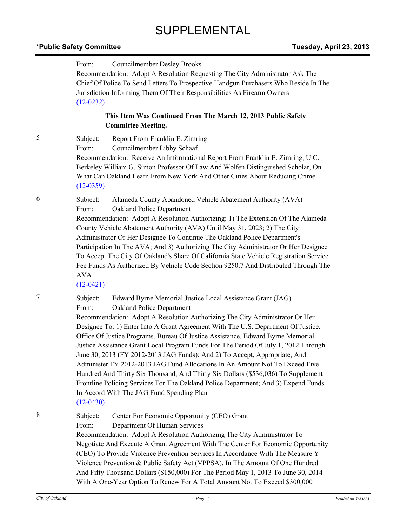# SUPPLEMENTAL

## **\*Public Safety Committee Tuesday, April 23, 2013**

|   | From:<br>Councilmember Desley Brooks<br>Recommendation: Adopt A Resolution Requesting The City Administrator Ask The<br>Chief Of Police To Send Letters To Prospective Handgun Purchasers Who Reside In The<br>Jurisdiction Informing Them Of Their Responsibilities As Firearm Owners<br>$(12-0232)$                                                                                                                                                                                                                                                                                                                                                                                                                                                                                                                                                            |  |
|---|------------------------------------------------------------------------------------------------------------------------------------------------------------------------------------------------------------------------------------------------------------------------------------------------------------------------------------------------------------------------------------------------------------------------------------------------------------------------------------------------------------------------------------------------------------------------------------------------------------------------------------------------------------------------------------------------------------------------------------------------------------------------------------------------------------------------------------------------------------------|--|
|   | This Item Was Continued From The March 12, 2013 Public Safety<br><b>Committee Meeting.</b>                                                                                                                                                                                                                                                                                                                                                                                                                                                                                                                                                                                                                                                                                                                                                                       |  |
| 5 | Subject:<br>Report From Franklin E. Zimring<br>Councilmember Libby Schaaf<br>From:<br>Recommendation: Receive An Informational Report From Franklin E. Zimring, U.C.<br>Berkeley William G. Simon Professor Of Law And Wolfen Distinguished Scholar, On<br>What Can Oakland Learn From New York And Other Cities About Reducing Crime<br>$(12-0359)$                                                                                                                                                                                                                                                                                                                                                                                                                                                                                                             |  |
| 6 | Subject:<br>Alameda County Abandoned Vehicle Abatement Authority (AVA)<br>From:<br>Oakland Police Department<br>Recommendation: Adopt A Resolution Authorizing: 1) The Extension Of The Alameda<br>County Vehicle Abatement Authority (AVA) Until May 31, 2023; 2) The City<br>Administrator Or Her Designee To Continue The Oakland Police Department's<br>Participation In The AVA; And 3) Authorizing The City Administrator Or Her Designee<br>To Accept The City Of Oakland's Share Of California State Vehicle Registration Service<br>Fee Funds As Authorized By Vehicle Code Section 9250.7 And Distributed Through The<br><b>AVA</b><br>$(12-0421)$                                                                                                                                                                                                     |  |
| 7 | Edward Byrne Memorial Justice Local Assistance Grant (JAG)<br>Subject:<br>From:<br>Oakland Police Department<br>Recommendation: Adopt A Resolution Authorizing The City Administrator Or Her<br>Designee To: 1) Enter Into A Grant Agreement With The U.S. Department Of Justice,<br>Office Of Justice Programs, Bureau Of Justice Assistance, Edward Byrne Memorial<br>Justice Assistance Grant Local Program Funds For The Period Of July 1, 2012 Through<br>June 30, 2013 (FY 2012-2013 JAG Funds); And 2) To Accept, Appropriate, And<br>Administer FY 2012-2013 JAG Fund Allocations In An Amount Not To Exceed Five<br>Hundred And Thirty Six Thousand, And Thirty Six Dollars (\$536,036) To Supplement<br>Frontline Policing Services For The Oakland Police Department; And 3) Expend Funds<br>In Accord With The JAG Fund Spending Plan<br>$(12-0430)$ |  |
| 8 | Subject:<br>Center For Economic Opportunity (CEO) Grant<br>From:<br>Department Of Human Services<br>Recommendation: Adopt A Resolution Authorizing The City Administrator To<br>Negotiate And Execute A Grant Agreement With The Center For Economic Opportunity<br>(CEO) To Provide Violence Prevention Services In Accordance With The Measure Y<br>Violence Prevention & Public Safety Act (VPPSA), In The Amount Of One Hundred<br>And Fifty Thousand Dollars (\$150,000) For The Period May 1, 2013 To June 30, 2014<br>With A One-Year Option To Renew For A Total Amount Not To Exceed \$300,000                                                                                                                                                                                                                                                          |  |